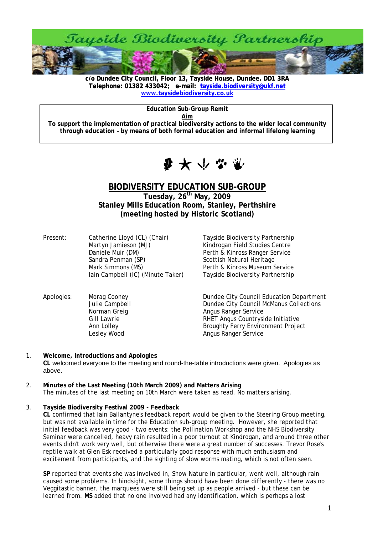

**c/o Dundee City Council, Floor 13, Tayside House, Dundee. DD1 3RA [Telephone: 01382 433042; e-mail: tayside.biodiversity@ukf.net](mailto:tayside.biodiversity@ukf.net)  www.taysidebiodiversity.co.uk**

**Education Sub-Group Remit** 

**Aim**

**To support the implementation of practical biodiversity actions to the wider local community through education – by means of both formal education and informal lifelong learning** 



# **BIODIVERSITY EDUCATION SUB-GROUP**

**Tuesday, 26th May, 2009 Stanley Mills Education Room, Stanley, Perthshire (meeting hosted by Historic Scotland)** 

Present: Catherine Lloyd (CL) (Chair) Tayside Biodiversity Partnership Martyn Jamieson (MJ) Kindrogan Field Studies Centre Daniele Muir (DM) Perth & Kinross Ranger Service Sandra Penman (SP) Scottish Natural Heritage Mark Simmons (MS) The Perth & Kinross Museum Service

Iain Campbell (IC) (Minute Taker) Tayside Biodiversity Partnership

- Apologies: Morag Cooney Dundee City Council Education Department<br>Julie Campbell Dundee City Council McManus Collections Dundee City Council McManus Collections Norman Greig **Angus Ranger Service** Angus Ranger Service Gill Lawrie **Countryside Initiative** RHET Angus Countryside Initiative Ann Lolley Broughty Ferry Environment Project Lesley Wood **Angus Ranger Service**
- 1. **Welcome, Introductions and Apologies CL** welcomed everyone to the meeting and round-the-table introductions were given. Apologies as above.
- 2. **Minutes of the Last Meeting (10th March 2009) and Matters Arising**  The minutes of the last meeting on 10th March were taken as read. No matters arising.

## 3. **Tayside Biodiversity Festival 2009 - Feedback**

**CL** confirmed that Iain Ballantyne's feedback report would be given to the Steering Group meeting, but was not available in time for the Education sub-group meeting. However, she reported that initial feedback was very good - two events: the Pollination Workshop and the NHS Biodiversity Seminar were cancelled, heavy rain resulted in a poor turnout at Kindrogan, and around three other events didn't work very well, but otherwise there were a great number of successes. Trevor Rose's reptile walk at Glen Esk received a particularly good response with much enthusiasm and excitement from participants, and the sighting of slow worms mating, which is not often seen.

**SP** reported that events she was involved in, Show Nature in particular, went well, although rain caused some problems. In hindsight, some things should have been done differently - there was no Veggitastic banner, the marquees were still being set up as people arrived - but these can be learned from. **MS** added that no one involved had any identification, which is perhaps a lost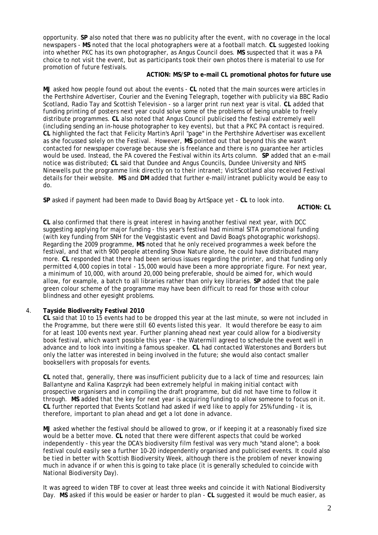opportunity. **SP** also noted that there was no publicity after the event, with no coverage in the local newspapers - **MS** noted that the local photographers were at a football match. **CL** suggested looking into whether PKC has its own photographer, as Angus Council does. **MS** suspected that it was a PA choice to not visit the event, but as participants took their own photos there is material to use for promotion of future festivals.

## **ACTION: MS/SP to e-mail CL promotional photos for future use**

**MJ** asked how people found out about the events - **CL** noted that the main sources were articles in the Perthshire Advertiser, Courier and the Evening Telegraph, together with publicity via BBC Radio Scotland, Radio Tay and Scottish Television - so a larger print run next year is vital. **CL** added that funding printing of posters next year could solve some of the problems of being unable to freely distribute programmes. **CL** also noted that Angus Council publicised the festival extremely well (including sending an in-house photographer to key events), but that a PKC PA contact is required. **CL** highlighted the fact that Felicity Martin's April "page" in the Perthshire Advertiser was excellent as she focussed solely on the Festival. However, **MS** pointed out that beyond this she wasn't contacted for newspaper coverage because she is freelance and there is no guarantee her articles would be used. Instead, the PA covered the Festival within its Arts column. **SP** added that an e-mail notice was distributed; **CL** said that Dundee and Angus Councils, Dundee University and NHS Ninewells put the programme link directly on to their intranet; VisitScotland also received Festival details for their website. **MS** and **DM** added that further e-mail/intranet publicity would be easy to do.

**SP** asked if payment had been made to David Boag by ArtSpace yet - **CL** to look into.

**ACTION: CL** 

**CL** also confirmed that there is great interest in having another festival next year, with DCC suggesting applying for major funding - this year's festival had minimal SITA promotional funding (with key funding from SNH for the Veggistastic event and David Boag's photographic workshops). Regarding the 2009 programme, **MS** noted that he only received programmes a week before the festival, and that with 900 people attending Show Nature alone, he could have distributed many more. **CL** responded that there had been serious issues regarding the printer, and that funding only permitted 4,000 copies in total - 15,000 would have been a more appropriate figure. For next year, a minimum of 10,000, with around 20,000 being preferable, should be aimed for, which would allow, for example, a batch to all libraries rather than only key libraries. **SP** added that the pale green colour scheme of the programme may have been difficult to read for those with colour blindness and other eyesight problems.

## 4. **Tayside Biodiversity Festival 2010**

**CL** said that 10 to 15 events had to be dropped this year at the last minute, so were not included in the Programme, but there were still 60 events listed this year. It would therefore be easy to aim for at least 100 events next year. Further planning ahead next year could allow for a biodiversity book festival, which wasn't possible this year - the Watermill agreed to schedule the event well in advance and to look into inviting a famous speaker. **CL** had contacted Waterstones and Borders but only the latter was interested in being involved in the future; she would also contact smaller booksellers with proposals for events.

**CL** noted that, generally, there was insufficient publicity due to a lack of time and resources; Iain Ballantyne and Kalina Kasprzyk had been extremely helpful in making initial contact with prospective organisers and in compiling the draft programme, but did not have time to follow it through. **MS** added that the key for next year is acquiring funding to allow someone to focus on it. **CL** further reported that Events Scotland had asked if we'd like to apply for 25% funding - it is, therefore, important to plan ahead and get a lot done in advance.

**MJ** asked whether the festival should be allowed to grow, or if keeping it at a reasonably fixed size would be a better move. **CL** noted that there were different aspects that could be worked independently - this year the DCA's biodiversity film festival was very much "stand alone"; a book festival could easily see a further 10-20 independently organised and publicised events. It could also be tied in better with Scottish Biodiversity Week, although there is the problem of never knowing much in advance if or when this is going to take place (it is generally scheduled to coincide with National Biodiversity Day).

It was agreed to widen TBF to cover at least three weeks and coincide it with National Biodiversity Day. **MS** asked if this would be easier or harder to plan - **CL** suggested it would be much easier, as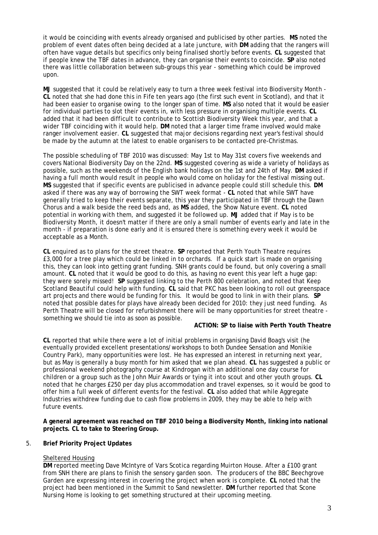it would be coinciding with events already organised and publicised by other parties. **MS** noted the problem of event dates often being decided at a late juncture, with **DM** adding that the rangers will often have vague details but specifics only being finalised shortly before events. **CL** suggested that if people knew the TBF dates in advance, they can organise their events to coincide. **SP** also noted there was little collaboration between sub-groups this year - something which could be improved upon.

**MJ** suggested that it could be relatively easy to turn a three week festival into Biodiversity Month - **CL** noted that she had done this in Fife ten years ago (the first such event in Scotland), and that it had been easier to organise owing to the longer span of time. **MS** also noted that it would be easier for individual parties to slot their events in, with less pressure in organising multiple events. **CL**  added that it had been difficult to contribute to Scottish Biodiversity Week this year, and that a wider TBF coinciding with it would help. **DM** noted that a larger time frame involved would make ranger involvement easier. **CL** suggested that major decisions regarding next year's festival should be made by the autumn at the latest to enable organisers to be contacted pre-Christmas.

The possible scheduling of TBF 2010 was discussed: May 1st to May 31st covers five weekends and covers National Biodiversity Day on the 22nd. **MS** suggested covering as wide a variety of holidays as possible, such as the weekends of the English bank holidays on the 1st and 24th of May. **DM** asked if having a full month would result in people who would come on holiday for the festival missing out. **MS** suggested that if specific events are publicised in advance people could still schedule this. **DM** asked if there was any way of borrowing the SWT week format - **CL** noted that while SWT have generally tried to keep their events separate, this year they participated in TBF through the Dawn Chorus and a walk beside the reed beds and, as **MS** added, the Show Nature event. **CL** noted potential in working with them, and suggested it be followed up. **MJ** added that if May is to be Biodiversity Month, it doesn't matter if there are only a small number of events early and late in the month - if preparation is done early and it is ensured there is something every week it would be acceptable as a Month.

**CL** enquired as to plans for the street theatre. **SP** reported that Perth Youth Theatre requires £3,000 for a tree play which could be linked in to orchards. If a quick start is made on organising this, they can look into getting grant funding. SNH grants could be found, but only covering a small amount. **CL** noted that it would be good to do this, as having no event this year left a huge gap: they were sorely missed! **SP** suggested linking to the Perth 800 celebration, and noted that Keep Scotland Beautiful could help with funding. **CL** said that PKC has been looking to roll out greenspace art projects and there would be funding for this. It would be good to link in with their plans. **SP** noted that possible dates for plays have already been decided for 2010: they just need funding. As Perth Theatre will be closed for refurbishment there will be many opportunities for street theatre something we should tie into as soon as possible.

## **ACTION: SP to liaise with Perth Youth Theatre**

**CL** reported that while there were a lot of initial problems in organising David Boag's visit (he eventually provided excellent presentations/workshops to both Dundee Sensation and Monikie Country Park), many opportunities were lost. He has expressed an interest in returning next year, but as May is generally a busy month for him asked that we plan ahead. **CL** has suggested a public or professional weekend photography course at Kindrogan with an additional one day course for children or a group such as the John Muir Awards or tying it into scout and other youth groups. **CL** noted that he charges £250 per day plus accommodation and travel expenses, so it would be good to offer him a full week of different events for the festival. **CL** also added that while Aggregate Industries withdrew funding due to cash flow problems in 2009, they may be able to help with future events.

**A general agreement was reached on TBF 2010 being a Biodiversity Month, linking into national projects. CL to take to Steering Group.** 

#### 5. **Brief Priority Project Updates**

#### Sheltered Housing

**DM** reported meeting Dave McIntyre of Vars Scotica regarding Muirton House. After a £100 grant from SNH there are plans to finish the sensory garden soon. The producers of the BBC Beechgrove Garden are expressing interest in covering the project when work is complete. **CL** noted that the project had been mentioned in the Summit to Sand newsletter. **DM** further reported that Scone Nursing Home is looking to get something structured at their upcoming meeting.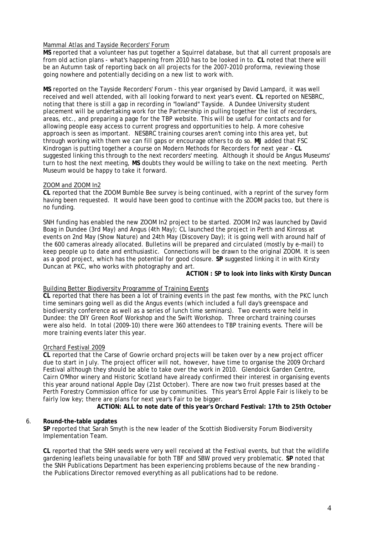# Mammal Atlas and Tayside Recorders' Forum

**MS** reported that a volunteer has put together a Squirrel database, but that all current proposals are from old action plans - what's happening from 2010 has to be looked in to. **CL** noted that there will be an Autumn task of reporting back on all projects for the 2007-2010 proforma, reviewing those going nowhere and potentially deciding on a new list to work with.

**MS** reported on the Tayside Recorders' Forum - this year organised by David Lampard, it was well received and well attended, with all looking forward to next year's event. **CL** reported on NESBRC, noting that there is still a gap in recording in "lowland" Tayside. A Dundee University student placement will be undertaking work for the Partnership in pulling together the list of recorders, areas, etc., and preparing a page for the TBP website. This will be useful for contacts and for allowing people easy access to current progress and opportunities to help. A more cohesive approach is seen as important. NESBRC training courses aren't coming into this area yet, but through working with them we can fill gaps or encourage others to do so. **MJ** added that FSC Kindrogan is putting together a course on Modern Methods for Recorders for next year - **CL** suggested linking this through to the next recorders' meeting. Although it should be Angus Museums' turn to host the next meeting, **MS** doubts they would be willing to take on the next meeting. Perth Museum would be happy to take it forward.

## ZOOM and ZOOM In2

**CL** reported that the ZOOM Bumble Bee survey is being continued, with a reprint of the survey form having been requested. It would have been good to continue with the ZOOM packs too, but there is no funding.

SNH funding has enabled the new ZOOM In2 project to be started. ZOOM In2 was launched by David Boag in Dundee (3rd May) and Angus (4th May); CL launched the project in Perth and Kinross at events on 2nd May (Show Nature) and 24th May (Discovery Day); it is going well with around half of the 600 cameras already allocated. Bulletins will be prepared and circulated (mostly by e-mail) to keep people up to date and enthusiastic. Connections will be drawn to the original ZOOM. It is seen as a good project, which has the potential for good closure. **SP** suggested linking it in with Kirsty Duncan at PKC, who works with photography and art.

## **ACTION : SP to look into links with Kirsty Duncan**

## Building Better Biodiversity Programme of Training Events

**CL** reported that there has been a lot of training events in the past few months, with the PKC lunch time seminars going well as did the Angus events (which included a full day's greenspace and biodiversity conference as well as a series of lunch time seminars). Two events were held in Dundee: the DIY Green Roof Workshop and the Swift Workshop. Three orchard training courses were also held. In total (2009-10) there were 360 attendees to TBP training events. There will be more training events later this year.

## Orchard Festival 2009

**CL** reported that the Carse of Gowrie orchard projects will be taken over by a new project officer due to start in July. The project officer will not, however, have time to organise the 2009 Orchard Festival although they should be able to take over the work in 2010. Glendoick Garden Centre, Cairn O'Mhor winery and Historic Scotland have already confirmed their interest in organising events this year around national Apple Day (21st October). There are now two fruit presses based at the Perth Forestry Commission office for use by communities. This year's Errol Apple Fair is likely to be fairly low key; there are plans for next year's Fair to be bigger.

**ACTION: ALL to note date of this year's Orchard Festival: 17th to 25th October** 

## 6. **Round-the-table updates**

**SP** reported that Sarah Smyth is the new leader of the Scottish Biodiversity Forum Biodiversity Implementation Team.

**CL** reported that the SNH seeds were very well received at the Festival events, but that the wildlife gardening leaflets being unavailable for both TBF and SBW proved very problematic. **SP** noted that the SNH Publications Department has been experiencing problems because of the new branding the Publications Director removed everything as all publications had to be redone.